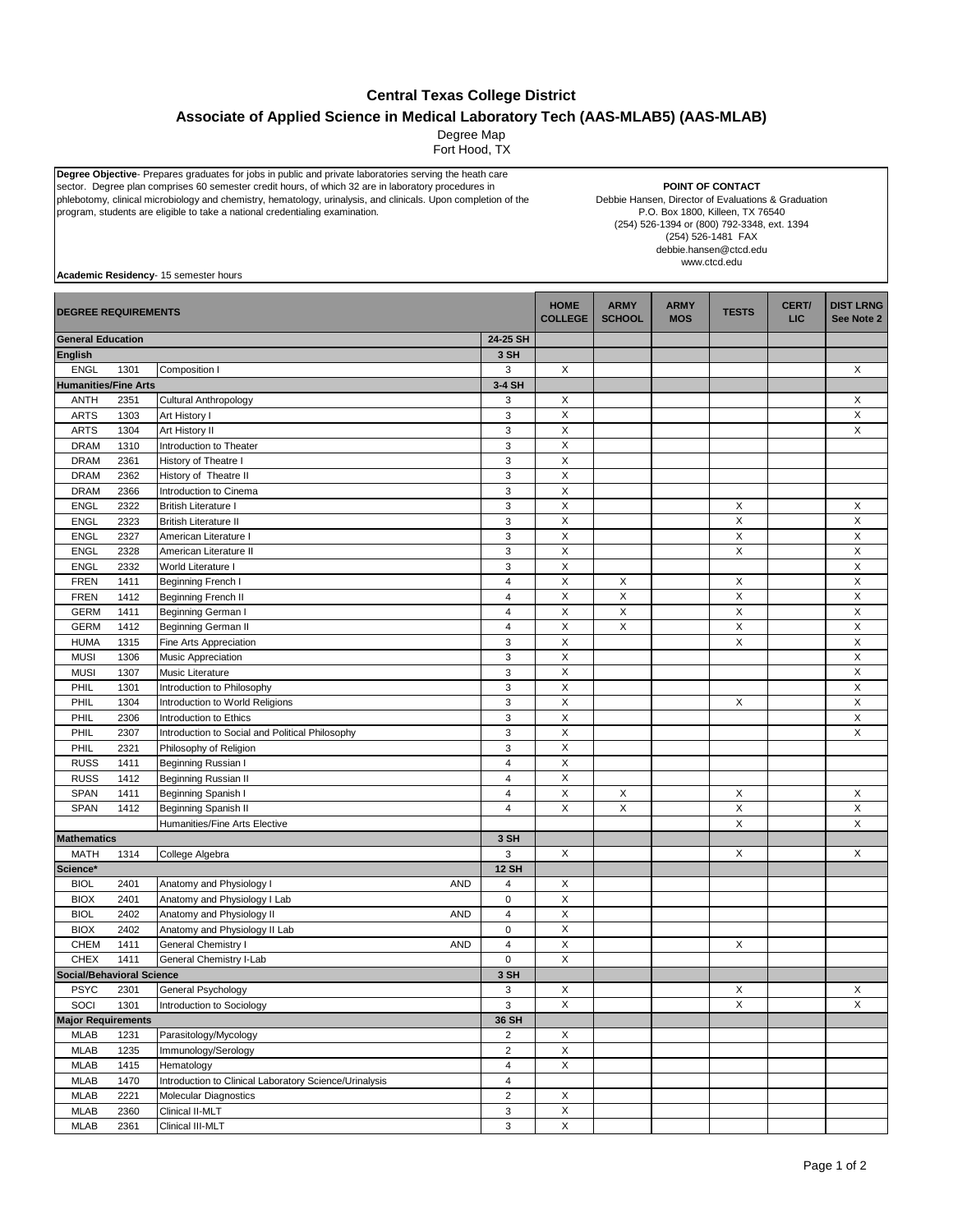## **Central Texas College District**

## **Associate of Applied Science in Medical Laboratory Tech (AAS-MLAB5) (AAS-MLAB)**

Degree Map

Fort Hood, TX

**Degree Objective**- Prepares graduates for jobs in public and private laboratories serving the heath care<br>sector. Degree plan comprises 60 semester credit hours, of which 32 are in laboratory procedures in phlebotomy, clinical microbiology and chemistry, hematology, urinalysis, and clinicals. Upon completion of the program, students are eligible to take a national credentialing examination.

**POINT OF CONTACT**

Debbie Hansen, Director of Evaluations & Graduation P.O. Box 1800, Killeen, TX 76540 (254) 526-1394 or (800) 792-3348, ext. 1394 (254) 526-1481 FAX debbie.hansen@ctcd.edu www.ctcd.edu

**Academic Residency**- 15 semester hours

| <b>DEGREE REQUIREMENTS</b>         |      |                                                        |                         | <b>HOME</b><br><b>COLLEGE</b> | <b>ARMY</b><br><b>SCHOOL</b> | <b>ARMY</b><br><b>MOS</b> | <b>TESTS</b> | CERT/<br><b>LIC</b> | <b>DIST LRNG</b><br>See Note 2 |
|------------------------------------|------|--------------------------------------------------------|-------------------------|-------------------------------|------------------------------|---------------------------|--------------|---------------------|--------------------------------|
| <b>General Education</b>           |      |                                                        | 24-25 SH                |                               |                              |                           |              |                     |                                |
| <b>English</b>                     |      |                                                        | 3 SH                    |                               |                              |                           |              |                     |                                |
| <b>ENGL</b>                        | 1301 | Composition I                                          | 3                       | X                             |                              |                           |              |                     | X                              |
| <b>Humanities/Fine Arts</b>        |      |                                                        | 3-4 SH                  |                               |                              |                           |              |                     |                                |
| <b>ANTH</b>                        | 2351 | <b>Cultural Anthropology</b>                           | 3                       | X                             |                              |                           |              |                     | X                              |
| <b>ARTS</b>                        | 1303 | Art History I                                          | 3                       | X                             |                              |                           |              |                     | X                              |
| <b>ARTS</b>                        | 1304 | Art History II                                         | 3                       | $\pmb{\times}$                |                              |                           |              |                     | X                              |
| <b>DRAM</b>                        | 1310 | Introduction to Theater                                | 3                       | X                             |                              |                           |              |                     |                                |
| <b>DRAM</b>                        | 2361 | History of Theatre I                                   | 3                       | $\pmb{\times}$                |                              |                           |              |                     |                                |
| <b>DRAM</b>                        | 2362 | History of Theatre II                                  | 3                       | $\pmb{\mathsf{X}}$            |                              |                           |              |                     |                                |
| <b>DRAM</b>                        | 2366 | Introduction to Cinema                                 | 3                       | $\pmb{\times}$                |                              |                           |              |                     |                                |
| <b>ENGL</b>                        | 2322 | <b>British Literature I</b>                            | 3                       | $\mathsf X$                   |                              |                           | X            |                     | X                              |
| <b>ENGL</b>                        | 2323 | <b>British Literature II</b>                           | 3                       | $\pmb{\times}$                |                              |                           | $\mathsf X$  |                     | $\mathsf X$                    |
| <b>ENGL</b>                        | 2327 | American Literature I                                  | 3                       | $\pmb{\times}$                |                              |                           | X            |                     | X                              |
| <b>ENGL</b>                        | 2328 | American Literature II                                 | 3                       | X                             |                              |                           | X            |                     | $\boldsymbol{\mathsf{X}}$      |
| <b>ENGL</b>                        | 2332 | World Literature I                                     | 3                       | X                             |                              |                           |              |                     | $\mathsf X$                    |
| <b>FREN</b>                        | 1411 | Beginning French I                                     | $\overline{\mathbf{4}}$ | $\pmb{\times}$                | X                            |                           | X            |                     | X                              |
| <b>FREN</b>                        | 1412 | Beginning French II                                    | $\overline{\mathbf{4}}$ | $\mathsf X$                   | X                            |                           | X            |                     | $\pmb{\times}$                 |
| <b>GERM</b>                        | 1411 | Beginning German I                                     | $\overline{\mathbf{4}}$ | $\mathsf X$                   | $\mathsf X$                  |                           | $\mathsf X$  |                     | $\mathsf X$                    |
| <b>GERM</b>                        | 1412 | Beginning German II                                    | $\overline{4}$          | $\pmb{\times}$                | X                            |                           | X            |                     | X                              |
| <b>HUMA</b>                        | 1315 | Fine Arts Appreciation                                 | 3                       | $\pmb{\times}$                |                              |                           | X            |                     | X                              |
| <b>MUSI</b>                        | 1306 | Music Appreciation                                     | 3                       | X                             |                              |                           |              |                     | X                              |
| <b>MUSI</b>                        | 1307 | Music Literature                                       | 3                       | $\pmb{\mathsf{X}}$            |                              |                           |              |                     | X                              |
| PHIL                               | 1301 | Introduction to Philosophy                             | 3                       | $\pmb{\times}$                |                              |                           |              |                     | X                              |
| PHIL                               | 1304 | Introduction to World Religions                        | 3                       | X                             |                              |                           | X            |                     | X                              |
| PHIL                               | 2306 | Introduction to Ethics                                 | 3                       | $\mathsf{X}$                  |                              |                           |              |                     | X                              |
| PHIL                               | 2307 | Introduction to Social and Political Philosophy        | 3                       | X                             |                              |                           |              |                     | X                              |
| PHIL                               | 2321 | Philosophy of Religion                                 | 3                       | X                             |                              |                           |              |                     |                                |
| <b>RUSS</b>                        | 1411 | Beginning Russian I                                    | $\overline{\mathbf{4}}$ | $\pmb{\times}$                |                              |                           |              |                     |                                |
| <b>RUSS</b>                        | 1412 | Beginning Russian II                                   | $\overline{4}$          | X                             |                              |                           |              |                     |                                |
|                                    |      |                                                        | $\overline{\mathbf{4}}$ | $\pmb{\times}$                |                              |                           |              |                     |                                |
| SPAN<br>SPAN                       | 1411 | Beginning Spanish I                                    | $\overline{4}$          | X                             | X<br>X                       |                           | X            |                     | X                              |
|                                    | 1412 | Beginning Spanish II                                   |                         |                               |                              |                           | $\mathsf X$  |                     | X                              |
| <b>Mathematics</b>                 |      | Humanities/Fine Arts Elective                          |                         |                               |                              |                           | Χ            |                     | X                              |
|                                    |      |                                                        | 3 SH                    | X                             |                              |                           |              |                     |                                |
| <b>MATH</b>                        | 1314 | College Algebra                                        | 3<br><b>12 SH</b>       |                               |                              |                           | X            |                     | X                              |
| Science*                           |      |                                                        |                         |                               |                              |                           |              |                     |                                |
| <b>BIOL</b>                        | 2401 | Anatomy and Physiology I<br><b>AND</b>                 | 4                       | X                             |                              |                           |              |                     |                                |
| <b>BIOX</b>                        | 2401 | Anatomy and Physiology I Lab                           | $\pmb{0}$               | $\pmb{\times}$                |                              |                           |              |                     |                                |
| <b>BIOL</b>                        | 2402 | Anatomy and Physiology II<br><b>AND</b>                | $\overline{\mathbf{4}}$ | $\pmb{\times}$                |                              |                           |              |                     |                                |
| <b>BIOX</b>                        | 2402 | Anatomy and Physiology II Lab                          | $\pmb{0}$               | $\mathsf X$                   |                              |                           |              |                     |                                |
| <b>CHEM</b>                        | 1411 | General Chemistry I<br><b>AND</b>                      | $\overline{\mathbf{4}}$ | $\pmb{\times}$                |                              |                           | X            |                     |                                |
| <b>CHEX</b>                        | 1411 | General Chemistry I-Lab                                | $\pmb{0}$               | $\pmb{\times}$                |                              |                           |              |                     |                                |
| <b>Social/Behavioral Science</b>   |      |                                                        | 3 SH                    |                               |                              |                           |              |                     |                                |
| <b>PSYC</b>                        | 2301 | General Psychology                                     | 3                       | X                             |                              |                           | X            |                     | X                              |
| SOCI                               | 1301 | Introduction to Sociology                              | 3                       | X                             |                              |                           | $\mathsf X$  |                     | X                              |
| <b>Major Requirements</b><br>36 SH |      |                                                        |                         |                               |                              |                           |              |                     |                                |
| <b>MLAB</b>                        | 1231 | Parasitology/Mycology                                  | $\overline{\mathbf{c}}$ | X                             |                              |                           |              |                     |                                |
| <b>MLAB</b>                        | 1235 | Immunology/Serology                                    | $\overline{a}$          | $\mathsf X$                   |                              |                           |              |                     |                                |
| <b>MLAB</b>                        | 1415 | Hematology                                             | $\overline{\mathbf{4}}$ | X                             |                              |                           |              |                     |                                |
| <b>MLAB</b>                        | 1470 | Introduction to Clinical Laboratory Science/Urinalysis | $\overline{4}$          |                               |                              |                           |              |                     |                                |
| <b>MLAB</b>                        | 2221 | Molecular Diagnostics                                  | $\overline{c}$          | $\mathsf X$                   |                              |                           |              |                     |                                |
| MLAB                               | 2360 | Clinical II-MLT                                        | 3                       | $\mathsf X$                   |                              |                           |              |                     |                                |
| <b>MLAB</b>                        | 2361 | Clinical III-MLT                                       | 3                       | $\mathsf X$                   |                              |                           |              |                     |                                |